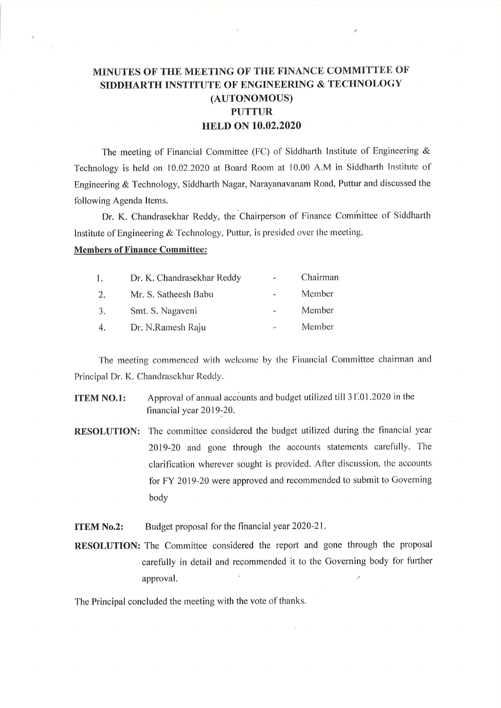## MINUTES OF THE MEETING OF THE FINANCE COMMITTEE OF SIDDHARTH INSTITUTE OF ENGINEERING & TECHNOLOGY (AUTONOMOUS) PUTTUR HELD ON 10.02.2020

The meeting of Financial Committee (FC) of Siddharth Institute of Engineering & Technology is held on 10.02.2020 at Board Room at 10.00 A.M in Siddharth Institute of Engineering & Technology, Siddharth Nagar, Narayanavanam Road, Puttur and discussed the following Agenda Items.

Dr. K. Chandrasekhar Reddy, the Chairperson of Finance Committee of Siddharth Institute of Engineering & Technology, Puttur, is presided over the meeting.

## Members of Finance Committee:

| 1. | Dr. K. Chandrasekhar Reddy | Chairman |
|----|----------------------------|----------|
| 2. | Mr. S. Satheesh Babu       | Member   |
| 3. | Smt. S. Nagaveni           | Member   |
| 4. | Dr. N.Ramesh Raju          | Member   |

The meeting commenced with welcome by the Financial Committee chairman and Principal Dr. K. Chandrasekhar Reddy.

- **ITEM NO.1:** Approval of annual accounts and budget utilized till 31.01.2020 in the financial year 2019-20.
- RESOLUTION: The committee considered the budget utilized during the financial year 2019-20 and gone through the accounts statements carefully. The clarification wherever sought is provided. After discussion, the accounts for FY 2Ol9-20 were approved and recommended to submit to Governing body

**ITEM No.2:** Budget proposal for the financial year 2020-21.

RESOLUTION: The Committee considered the report and gone through the proposal carefully in detail and recommended it to the Governing body for further approval.

The Principal concluded the meeting with the vote of thanks.